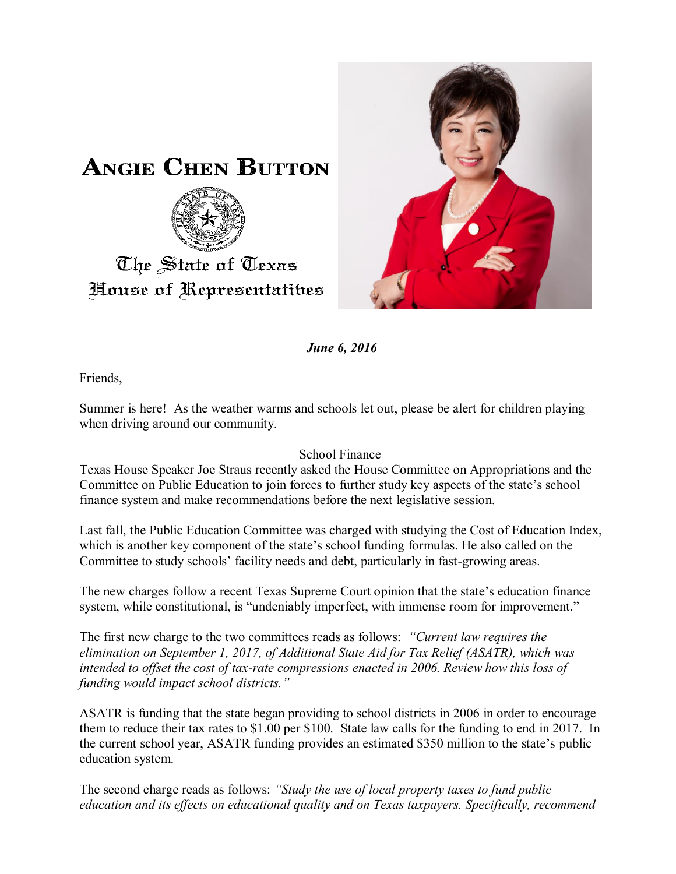

*June 6, 2016*

Friends,

The State of Texas

House of Representatibes

Summer is here! As the weather warms and schools let out, please be alert for children playing when driving around our community.

## School Finance

Texas House Speaker Joe Straus recently asked the House Committee on Appropriations and the Committee on Public Education to join forces to further study key aspects of the state's school finance system and make recommendations before the next legislative session.

Last fall, the Public Education Committee was charged with studying the Cost of Education Index, which is another key component of the state's school funding formulas. He also called on the Committee to study schools' facility needs and debt, particularly in fast-growing areas.

The new charges follow a recent Texas Supreme Court opinion that the state's education finance system, while constitutional, is "undeniably imperfect, with immense room for improvement."

The first new charge to the two committees reads as follows: *"Current law requires the elimination on September 1, 2017, of Additional State Aid for Tax Relief (ASATR), which was intended to offset the cost of tax-rate compressions enacted in 2006. Review how this loss of funding would impact school districts."*

ASATR is funding that the state began providing to school districts in 2006 in order to encourage them to reduce their tax rates to \$1.00 per \$100. State law calls for the funding to end in 2017. In the current school year, ASATR funding provides an estimated \$350 million to the state's public education system.

The second charge reads as follows: *"Study the use of local property taxes to fund public education and its effects on educational quality and on Texas taxpayers. Specifically, recommend*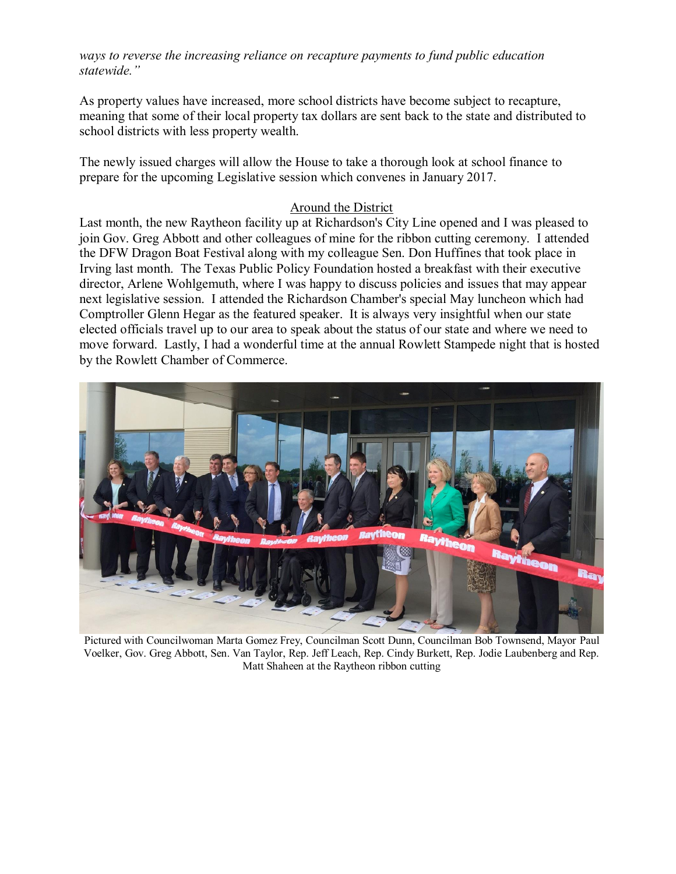*ways to reverse the increasing reliance on recapture payments to fund public education statewide."*

As property values have increased, more school districts have become subject to recapture, meaning that some of their local property tax dollars are sent back to the state and distributed to school districts with less property wealth.

The newly issued charges will allow the House to take a thorough look at school finance to prepare for the upcoming Legislative session which convenes in January 2017.

## Around the District

Last month, the new Raytheon facility up at Richardson's City Line opened and I was pleased to join Gov. Greg Abbott and other colleagues of mine for the ribbon cutting ceremony. I attended the DFW Dragon Boat Festival along with my colleague Sen. Don Huffines that took place in Irving last month. The Texas Public Policy Foundation hosted a breakfast with their executive director, Arlene Wohlgemuth, where I was happy to discuss policies and issues that may appear next legislative session. I attended the Richardson Chamber's special May luncheon which had Comptroller Glenn Hegar as the featured speaker. It is always very insightful when our state elected officials travel up to our area to speak about the status of our state and where we need to move forward. Lastly, I had a wonderful time at the annual Rowlett Stampede night that is hosted by the Rowlett Chamber of Commerce.



Pictured with Councilwoman Marta Gomez Frey, Councilman Scott Dunn, Councilman Bob Townsend, Mayor Paul Voelker, Gov. Greg Abbott, Sen. Van Taylor, Rep. Jeff Leach, Rep. Cindy Burkett, Rep. Jodie Laubenberg and Rep. Matt Shaheen at the Raytheon ribbon cutting